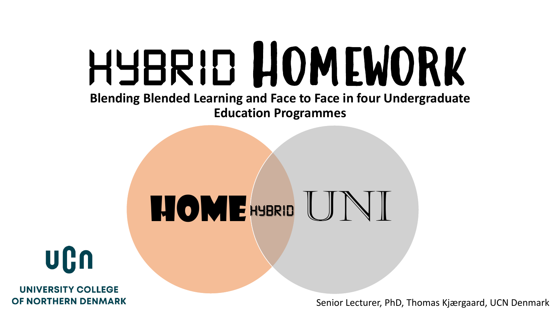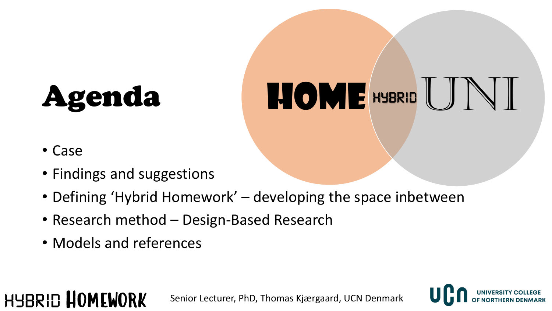# Agenda



• Case

**HYBRID HOMEWORK** 

- Findings and suggestions
- Defining 'Hybrid Homework' developing the space inbetween
- Research method Design-Based Research
- Models and references

Senior Lecturer, PhD, Thomas Kjærgaard, UCN Denmark

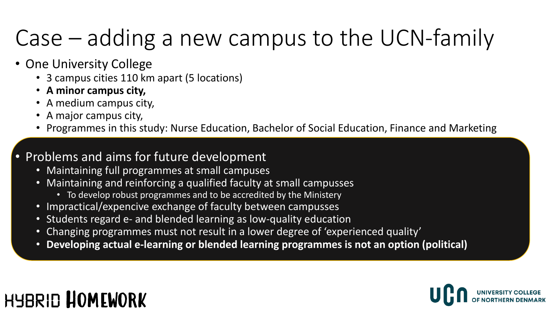### Case – adding a new campus to the UCN-family

- One University College
	- 3 campus cities 110 km apart (5 locations)
	- **A minor campus city,**
	- A medium campus city,
	- A major campus city,
	- Programmes in this study: Nurse Education, Bachelor of Social Education, Finance and Marketing

#### • Problems and aims for future development

- Maintaining full programmes at small campuses
- Maintaining and reinforcing a qualified faculty at small campusses
	- To develop robust programmes and to be accredited by the Ministery
- Impractical/expencive exchange of faculty between campusses
- Students regard e- and blended learning as low-quality education
- Changing programmes must not result in a lower degree of 'experienced quality'
- **Developing actual e-learning or blended learning programmes is not an option (political)**

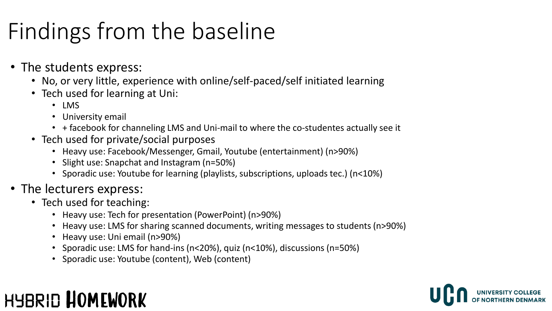### Findings from the baseline

- The students express:
	- No, or very little, experience with online/self-paced/self initiated learning
	- Tech used for learning at Uni:
		- LMS
		- University email
		- + facebook for channeling LMS and Uni-mail to where the co-studentes actually see it
	- Tech used for private/social purposes
		- Heavy use: Facebook/Messenger, Gmail, Youtube (entertainment) (n>90%)
		- Slight use: Snapchat and Instagram (n=50%)
		- Sporadic use: Youtube for learning (playlists, subscriptions, uploads tec.) (n<10%)
- The lecturers express:
	- Tech used for teaching:
		- Heavy use: Tech for presentation (PowerPoint) (n>90%)
		- Heavy use: LMS for sharing scanned documents, writing messages to students (n>90%)
		- Heavy use: Uni email (n>90%)
		- Sporadic use: LMS for hand-ins (n<20%), quiz (n<10%), discussions (n=50%)
		- Sporadic use: Youtube (content), Web (content)

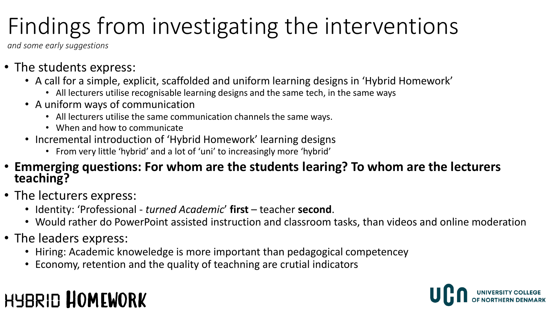### Findings from investigating the interventions

*and some early suggestions*

- The students express:
	- A call for a simple, explicit, scaffolded and uniform learning designs in 'Hybrid Homework'
		- All lecturers utilise recognisable learning designs and the same tech, in the same ways
	- A uniform ways of communication
		- All lecturers utilise the same communication channels the same ways.
		- When and how to communicate
	- Incremental introduction of 'Hybrid Homework' learning designs
		- From very little 'hybrid' and a lot of 'uni' to increasingly more 'hybrid'
- **Emmerging questions: For whom are the students learing? To whom are the lecturers teaching?**
- The lecturers express:
	- Identity: 'Professional *turned Academic*' **first** teacher **second**.
	- Would rather do PowerPoint assisted instruction and classroom tasks, than videos and online moderation
- The leaders express:
	- Hiring: Academic knoweledge is more important than pedagogical competencey
	- Economy, retention and the quality of teachning are crutial indicators

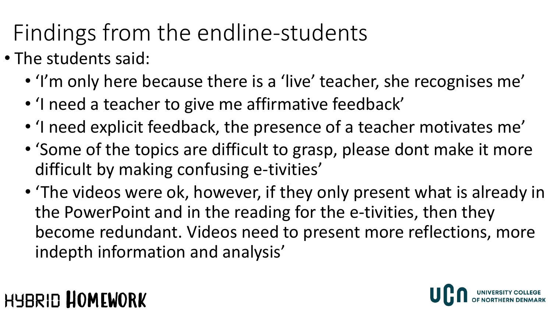### Findings from the endline-students

- The students said:
	- 'I'm only here because there is a 'live' teacher, she recognises me'
	- 'I need a teacher to give me affirmative feedback'
	- 'I need explicit feedback, the presence of a teacher motivates me'
	- 'Some of the topics are difficult to grasp, please dont make it more difficult by making confusing e-tivities'
	- 'The videos were ok, however, if they only present what is already in the PowerPoint and in the reading for the e-tivities, then they become redundant. Videos need to present more reflections, more indepth information and analysis'

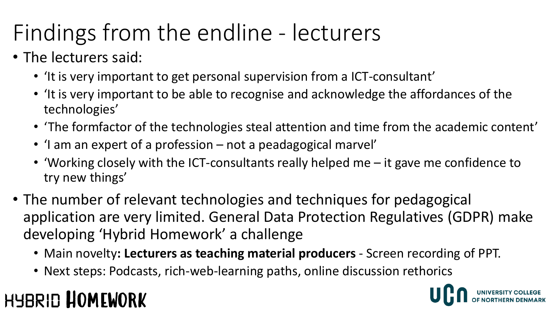### Findings from the endline - lecturers

- The lecturers said:
	- 'It is very important to get personal supervision from a ICT-consultant'
	- 'It is very important to be able to recognise and acknowledge the affordances of the technologies'
	- 'The formfactor of the technologies steal attention and time from the academic content'
	- 'I am an expert of a profession not a peadagogical marvel'
	- 'Working closely with the ICT-consultants really helped me it gave me confidence to try new things'
- The number of relevant technologies and techniques for pedagogical application are very limited. General Data Protection Regulatives (GDPR) make developing 'Hybrid Homework' a challenge
	- Main novelty**: Lecturers as teaching material producers**  Screen recording of PPT.
	- Next steps: Podcasts, rich-web-learning paths, online discussion rethorics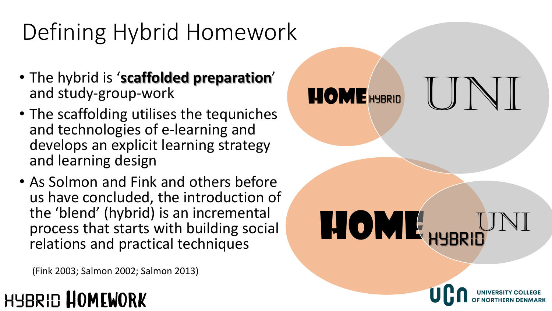### Defining Hybrid Homework

- The hybrid is '**scaffolded preparation**' and study-group-work
- The scaffolding utilises the tequniches and technologies of e-learning and develops an explicit learning strategy and learning design
- As Solmon and Fink and others before us have concluded, the introduction of the 'blend' (hybrid) is an incremental process that starts with building social relations and practical techniques

REQME<sub>HYBRID</sub>UNI

**HOME HYBRID** 

(Fink 2003; Salmon 2002; Salmon 2013)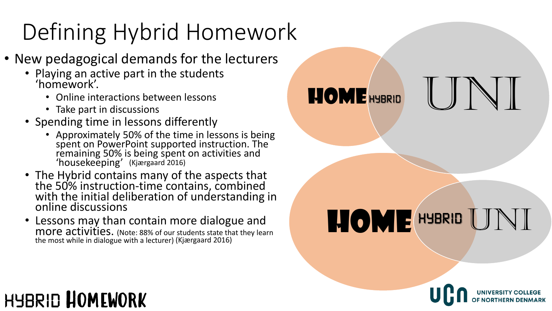## Defining Hybrid Homework

- New pedagogical demands for the lecturers
	- Playing an active part in the students 'homework'.
		- Online interactions between lessons
		- Take part in discussions
	- Spending time in lessons differently
		- Approximately 50% of the time in lessons is being spent on PowerPoint supported instruction. The remaining 50% is being spent on activities and 'housekeeping' (Kjærgaard 2016)
	- The Hybrid contains many of the aspects that the 50% instruction-time contains, combined with the initial deliberation of understanding in online discussions
	- Lessons may than contain more dialogue and more activities. (Note: 88% of our students state that they learn the most while in dialogue with a lecturer) (Kjærgaard 2016)

HOME HYBRID UNI

HOME HYBRID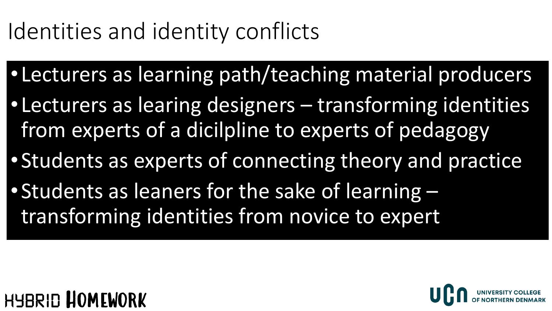### Identities and identity conflicts

- •Lecturers as learning path/teaching material producers
- •Lecturers as learing designers transforming identities from experts of a dicilpline to experts of pedagogy
- •Students as experts of connecting theory and practice
- •Students as leaners for the sake of learning transforming identities from novice to expert



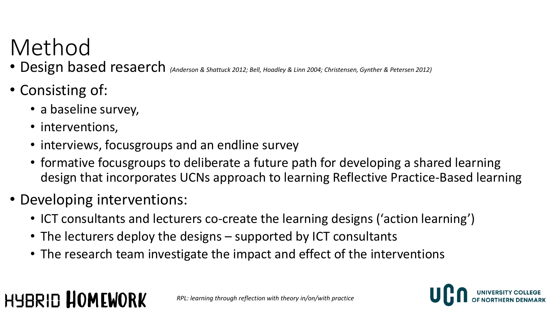### Method

- Design based resaerch *(Anderson & Shattuck 2012; Bell, Hoadley & Linn 2004; Christensen, Gynther & Petersen 2012)*
- Consisting of:
	- a baseline survey,
	- interventions,

- interviews, focusgroups and an endline survey
- formative focusgroups to deliberate a future path for developing a shared learning design that incorporates UCNs approach to learning Reflective Practice-Based learning
- Developing interventions:
	- ICT consultants and lecturers co-create the learning designs ('action learning')
	- The lecturers deploy the designs supported by ICT consultants
	- The research team investigate the impact and effect of the interventions

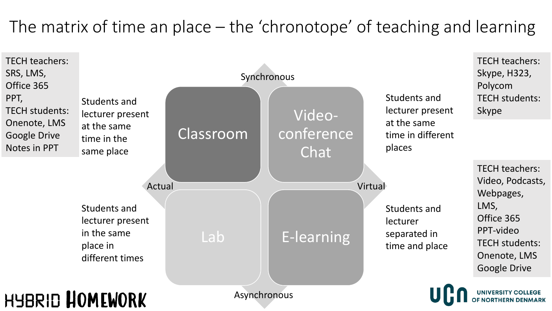#### The matrix of time an place – the 'chronotope' of teaching and learning

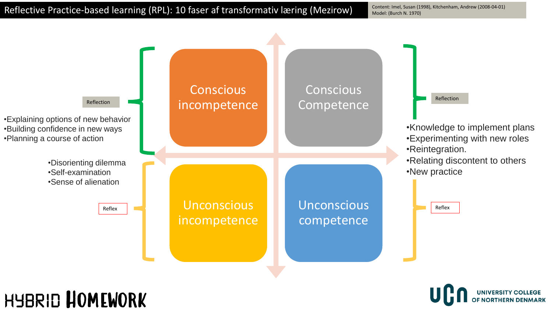Content: Imel, Susan (1998), Kitchenham, Andrew (2008-04-01) Model: (Burch N. 1970)



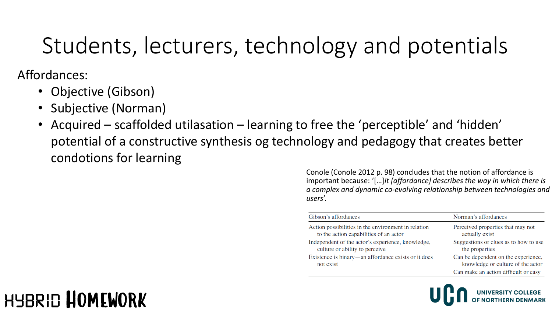### Students, lecturers, technology and potentials

Affordances:

- Objective (Gibson)
- Subjective (Norman)
- Acquired scaffolded utilasation learning to free the 'perceptible' and 'hidden' potential of a constructive synthesis og technology and pedagogy that creates better condotions for learning

Conole (Conole 2012 p. 98) concludes that the notion of affordance is important because: '[…]*it [affordance] describes the way in which there is a complex and dynamic co-evolving relationship between technologies and users*'.

| Gibson's affordances                                                                          | Norman's affordances                                                     |
|-----------------------------------------------------------------------------------------------|--------------------------------------------------------------------------|
| Action possibilities in the environment in relation<br>to the action capabilities of an actor | Perceived properties that may not<br>actually exist                      |
| Independent of the actor's experience, knowledge,<br>culture or ability to perceive           | Suggestions or clues as to how to use<br>the properties                  |
| Existence is binary—an affordance exists or it does<br>not exist                              | Can be dependent on the experience,<br>knowledge or culture of the actor |
|                                                                                               | Can make an action difficult or easy                                     |